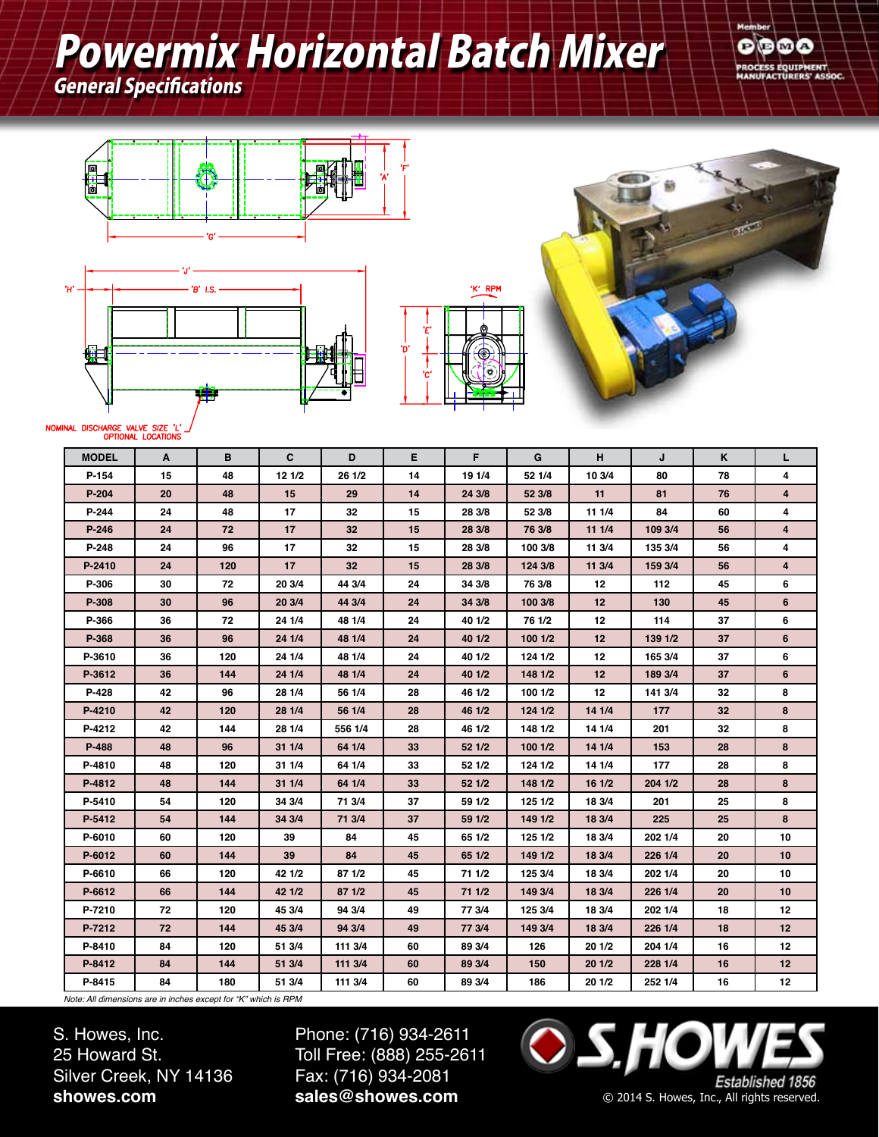# Powermix Horizontal Batch Mixer

General Specifications











#### NOMINAL DISCHARGE VALVE SIZE 'L

| <b>MODEL</b> | A  | в   | C      | D       | Е  | F.     | G       | н               | J       | K               | L              |
|--------------|----|-----|--------|---------|----|--------|---------|-----------------|---------|-----------------|----------------|
| $P-154$      | 15 | 48  | 121/2  | 26 1/2  | 14 | 19 1/4 | 52 1/4  | 10 3/4          | 80      | 78              | 4              |
| $P-204$      | 20 | 48  | 15     | 29      | 14 | 24 3/8 | 52 3/8  | 11              | 81      | 76              | $\overline{4}$ |
| P-244        | 24 | 48  | 17     | 32      | 15 | 28 3/8 | 52 3/8  | 11 1/4          | 84      | 60              | 4              |
| $P-246$      | 24 | 72  | 17     | 32      | 15 | 28 3/8 | 76 3/8  | 11 1/4          | 109 3/4 | 56              | 4              |
| P-248        | 24 | 96  | 17     | 32      | 15 | 28 3/8 | 100 3/8 | 11 3/4          | 135 3/4 | 56              | 4              |
| P-2410       | 24 | 120 | 17     | 32      | 15 | 28 3/8 | 124 3/8 | 11 3/4          | 159 3/4 | 56              | $\overline{4}$ |
| P-306        | 30 | 72  | 20 3/4 | 44 3/4  | 24 | 34 3/8 | 76 3/8  | 12 <sub>2</sub> | 112     | 45              | 6              |
| P-308        | 30 | 96  | 20 3/4 | 44 3/4  | 24 | 34 3/8 | 100 3/8 | 12              | 130     | 45              | 6              |
| P-366        | 36 | 72  | 24 1/4 | 48 1/4  | 24 | 40 1/2 | 76 1/2  | 12              | 114     | 37              | 6              |
| P-368        | 36 | 96  | 24 1/4 | 48 1/4  | 24 | 40 1/2 | 1001/2  | 12              | 139 1/2 | 37              | 6              |
| P-3610       | 36 | 120 | 24 1/4 | 48 1/4  | 24 | 40 1/2 | 124 1/2 | 12              | 165 3/4 | 37              | 6              |
| P-3612       | 36 | 144 | 24 1/4 | 48 1/4  | 24 | 40 1/2 | 148 1/2 | 12              | 189 3/4 | 37              | 6              |
| P-428        | 42 | 96  | 28 1/4 | 56 1/4  | 28 | 46 1/2 | 100 1/2 | 12              | 141 3/4 | 32              | 8              |
| P-4210       | 42 | 120 | 28 1/4 | 56 1/4  | 28 | 46 1/2 | 124 1/2 | 14 1/4          | 177     | 32 <sub>2</sub> | 8              |
| P-4212       | 42 | 144 | 28 1/4 | 556 1/4 | 28 | 46 1/2 | 148 1/2 | 14 1/4          | 201     | 32              | 8              |
| P-488        | 48 | 96  | 31 1/4 | 64 1/4  | 33 | 52 1/2 | 1001/2  | 14 1/4          | 153     | 28              | 8              |
| P-4810       | 48 | 120 | 31 1/4 | 64 1/4  | 33 | 52 1/2 | 124 1/2 | 14 1/4          | 177     | 28              | 8              |
| P-4812       | 48 | 144 | 31 1/4 | 64 1/4  | 33 | 52 1/2 | 148 1/2 | 161/2           | 204 1/2 | 28              | 8              |
| P-5410       | 54 | 120 | 34 3/4 | 71 3/4  | 37 | 59 1/2 | 125 1/2 | 18 3/4          | 201     | 25              | 8              |
| P-5412       | 54 | 144 | 34 3/4 | 71 3/4  | 37 | 59 1/2 | 149 1/2 | 18 3/4          | 225     | 25              | 8              |
| P-6010       | 60 | 120 | 39     | 84      | 45 | 65 1/2 | 125 1/2 | 18 3/4          | 202 1/4 | 20              | 10             |
| P-6012       | 60 | 144 | 39     | 84      | 45 | 65 1/2 | 149 1/2 | 18 3/4          | 226 1/4 | 20              | 10             |
| P-6610       | 66 | 120 | 42 1/2 | 87 1/2  | 45 | 71 1/2 | 125 3/4 | 18 3/4          | 202 1/4 | 20              | 10             |
| P-6612       | 66 | 144 | 42 1/2 | 871/2   | 45 | 71 1/2 | 149 3/4 | 18 3/4          | 226 1/4 | 20              | 10             |
| P-7210       | 72 | 120 | 45 3/4 | 94 3/4  | 49 | 77 3/4 | 125 3/4 | 18 3/4          | 202 1/4 | 18              | 12             |
| P-7212       | 72 | 144 | 45 3/4 | 94 3/4  | 49 | 77 3/4 | 149 3/4 | 18 3/4          | 226 1/4 | 18              | 12             |
| P-8410       | 84 | 120 | 51 3/4 | 111 3/4 | 60 | 89 3/4 | 126     | 20 1/2          | 204 1/4 | 16              | 12             |
| P-8412       | 84 | 144 | 51 3/4 | 111 3/4 | 60 | 89 3/4 | 150     | 20 1/2          | 228 1/4 | 16              | 12             |
| P-8415       | 84 | 180 | 51 3/4 | 111 3/4 | 60 | 89 3/4 | 186     | 20 1/2          | 252 1/4 | 16              | 12             |

*Note: All dimensions are in inches except for "K" which is RPM*

S. Howes, Inc. 25 Howard St. Silver Creek, NY 14136 **showes.com**

Phone: (716) 934-2611 Toll Free: (888) 255-2611 Fax: (716) 934-2081 **sales@showes.com**